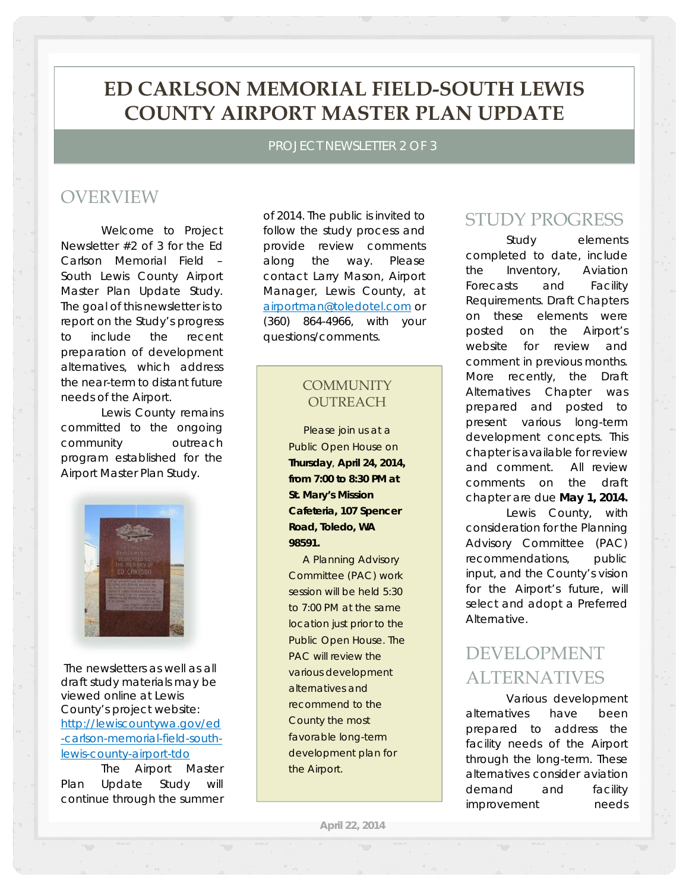# **ED CARLSON MEMORIAL FIELD-SOUTH LEWIS COUNTY AIRPORT MASTER PLAN UPDATE**

PROJECT NEWSLETTER 2 OF 3

## OVERVIEW

Welcome to Project Newsletter #2 of 3 for the Ed Carlson Memorial Field – South Lewis County Airport Master Plan Update Study. The goal of this newsletter is to report on the Study's progress to include the recent preparation of development alternatives, which address the near-term to distant future needs of the Airport.

Lewis County remains committed to the ongoing community outreach program established for the Airport Master Plan Study.



 The newsletters as well as all draft study materials may be viewed online at Lewis County's project website: http://lewiscountywa.gov/ed -carlson-memorial-field-southlewis-county-airport-tdo

The Airport Master Plan Update Study will continue through the summer

of 2014. The public is invited to follow the study process and provide review comments along the way. Please contact Larry Mason, Airport Manager, Lewis County, at airportman@toledotel.com or (360) 864-4966, with your questions/comments.

### **COMMUNITY OUTREACH**

 *Please join us at a Public Open House on Thursday, April 24, 2014, from 7:00 to 8:30 PM at St. Mary's Mission Cafeteria, 107 Spencer Road, Toledo, WA 98591.* 

 *A Planning Advisory Committee (PAC) work session will be held 5:30 to 7:00 PM at the same location just prior to the Public Open House. The PAC will review the various development alternatives and recommend to the County the most favorable long-term development plan for the Airport.*

## STUDY PROGRESS

Study elements completed to date, include the Inventory, Aviation Forecasts and Facility Requirements. Draft Chapters on these elements were posted on the Airport's website for review and comment in previous months. More recently, the Draft Alternatives Chapter was prepared and posted to present various long-term development concepts. This chapter is available for review and comment. *All review comments on the draft chapter are due May 1, 2014.*  Lewis County, with consideration for the Planning Advisory Committee (PAC) recommendations, public

input, and the County's vision for the Airport's future, will select and adopt a Preferred Alternative.

# DEVELOPMENT ALTERNATIVES

Various development alternatives have been prepared to address the facility needs of the Airport through the long-term. These alternatives consider aviation demand and facility improvement needs